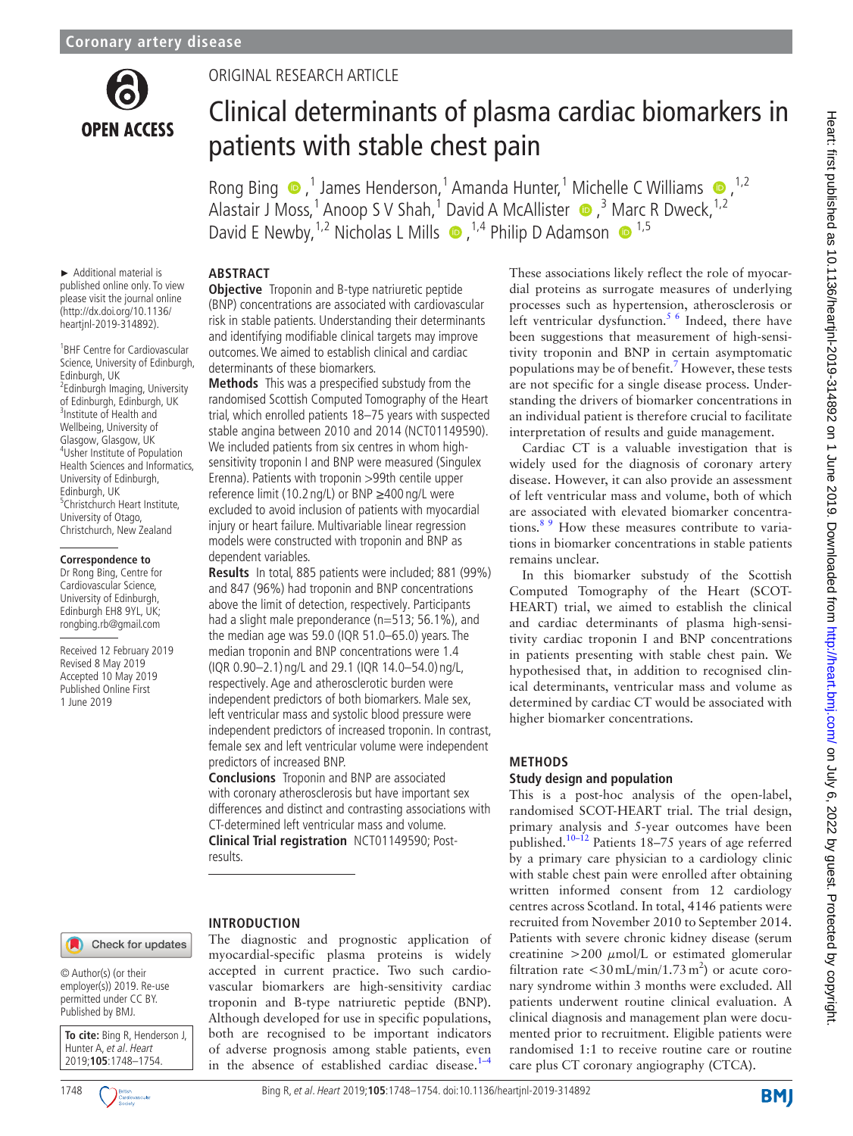

## Original research article

# Clinical determinants of plasma cardiac biomarkers in patients with stable chest pain

RongBing  $\bigcirc$ ,<sup>1</sup> James Henderson,<sup>1</sup> Amanda Hunter,<sup>1</sup> Michelle C Williams  $\bigcirc$ ,<sup>1,2</sup> AlastairJ Moss,<sup>1</sup> Anoop S V Shah,<sup>1</sup> David A McAllister  $\bullet$ ,<sup>3</sup> Marc R Dweck,<sup>1,2</sup> DavidE Newby,  $^{1,2}$  Nicholas L Mills  $\bullet$ ,  $^{1,4}$  Philip D Adamson  $\bullet$   $^{1,5}$ 

► Additional material is published online only. To view please visit the journal online (http://dx.doi.org/10.1136/ heartjnl-2019-314892).

1 BHF Centre for Cardiovascular Science, University of Edinburgh, Edinburgh, UK <sup>2</sup>Edinburgh Imaging, University of Edinburgh, Edinburgh, UK <sup>3</sup> <sup>3</sup>Institute of Health and Wellbeing, University of Glasgow, Glasgow, UK <sup>4</sup> Usher Institute of Population Health Sciences and Informatics, University of Edinburgh, Edinburgh, UK 5 Christchurch Heart Institute, University of Otago, Christchurch, New Zealand

#### **Correspondence to**

Dr Rong Bing, Centre for Cardiovascular Science, University of Edinburgh, Edinburgh EH8 9YL, UK; rongbing.rb@gmail.com

Received 12 February 2019 Revised 8 May 2019 Accepted 10 May 2019 Published Online First 1 June 2019

## **Abstract**

**Objective** Troponin and B-type natriuretic peptide (BNP) concentrations are associated with cardiovascular risk in stable patients. Understanding their determinants and identifying modifiable clinical targets may improve outcomes. We aimed to establish clinical and cardiac determinants of these biomarkers.

**Methods** This was a prespecified substudy from the randomised Scottish Computed Tomography of the Heart trial, which enrolled patients 18–75 years with suspected stable angina between 2010 and 2014 (NCT01149590). We included patients from six centres in whom highsensitivity troponin I and BNP were measured (Singulex Erenna). Patients with troponin >99th centile upper reference limit (10.2 ng/L) or BNP ≥400 ng/L were excluded to avoid inclusion of patients with myocardial injury or heart failure. Multivariable linear regression models were constructed with troponin and BNP as dependent variables.

**Results** In total, 885 patients were included; 881 (99%) and 847 (96%) had troponin and BNP concentrations above the limit of detection, respectively. Participants had a slight male preponderance (n=513; 56.1%), and the median age was 59.0 (IQR 51.0–65.0) years. The median troponin and BNP concentrations were 1.4 (IQR 0.90–2.1) ng/L and 29.1 (IQR 14.0–54.0) ng/L, respectively. Age and atherosclerotic burden were independent predictors of both biomarkers. Male sex, left ventricular mass and systolic blood pressure were independent predictors of increased troponin. In contrast, female sex and left ventricular volume were independent predictors of increased BNP.

**Conclusions** Troponin and BNP are associated with coronary atherosclerosis but have important sex differences and distinct and contrasting associations with CT-determined left ventricular mass and volume. **Clinical Trial registration** <NCT01149590>; Post-

The diagnostic and prognostic application of myocardial-specific plasma proteins is widely accepted in current practice. Two such cardiovascular biomarkers are high-sensitivity cardiac troponin and B-type natriuretic peptide (BNP). Although developed for use in specific populations, both are recognised to be important indicators of adverse prognosis among stable patients, even in the absence of established cardiac disease. $1-4$ 

results.

**Introduction**

## Check for updates

© Author(s) (or their employer(s)) 2019. Re-use permitted under CC BY. Published by BMJ.

**To cite:** Bing R, Henderson J, Hunter A, et al. Heart 2019;**105**:1748–1754.



These associations likely reflect the role of myocardial proteins as surrogate measures of underlying processes such as hypertension, atherosclerosis or left ventricular dysfunction.<sup>5 6</sup> Indeed, there have been suggestions that measurement of high-sensitivity troponin and BNP in certain asymptomatic populations may be of benefit.<sup>7</sup> However, these tests are not specific for a single disease process. Understanding the drivers of biomarker concentrations in an individual patient is therefore crucial to facilitate interpretation of results and guide management.

Cardiac CT is a valuable investigation that is widely used for the diagnosis of coronary artery disease. However, it can also provide an assessment of left ventricular mass and volume, both of which are associated with elevated biomarker concentrations. $89$  How these measures contribute to variations in biomarker concentrations in stable patients remains unclear.

In this biomarker substudy of the Scottish Computed Tomography of the Heart (SCOT-HEART) trial, we aimed to establish the clinical and cardiac determinants of plasma high-sensitivity cardiac troponin I and BNP concentrations in patients presenting with stable chest pain. We hypothesised that, in addition to recognised clinical determinants, ventricular mass and volume as determined by cardiac CT would be associated with higher biomarker concentrations.

## **Methods**

## **Study design and population**

This is a post-hoc analysis of the open-label, randomised SCOT-HEART trial. The trial design, primary analysis and 5-year outcomes have been published.<sup>10–12</sup> Patients 18–75 years of age referred by a primary care physician to a cardiology clinic with stable chest pain were enrolled after obtaining written informed consent from 12 cardiology centres across Scotland. In total, 4146 patients were recruited from November 2010 to September 2014. Patients with severe chronic kidney disease (serum creatinine  $>200 \mu$ mol/L or estimated glomerular filtration rate  $\langle 30 \text{ mL/min}/1.73 \text{ m}^2 \rangle$  or acute coronary syndrome within 3 months were excluded. All patients underwent routine clinical evaluation. A clinical diagnosis and management plan were documented prior to recruitment. Eligible patients were randomised 1:1 to receive routine care or routine care plus CT coronary angiography (CTCA).

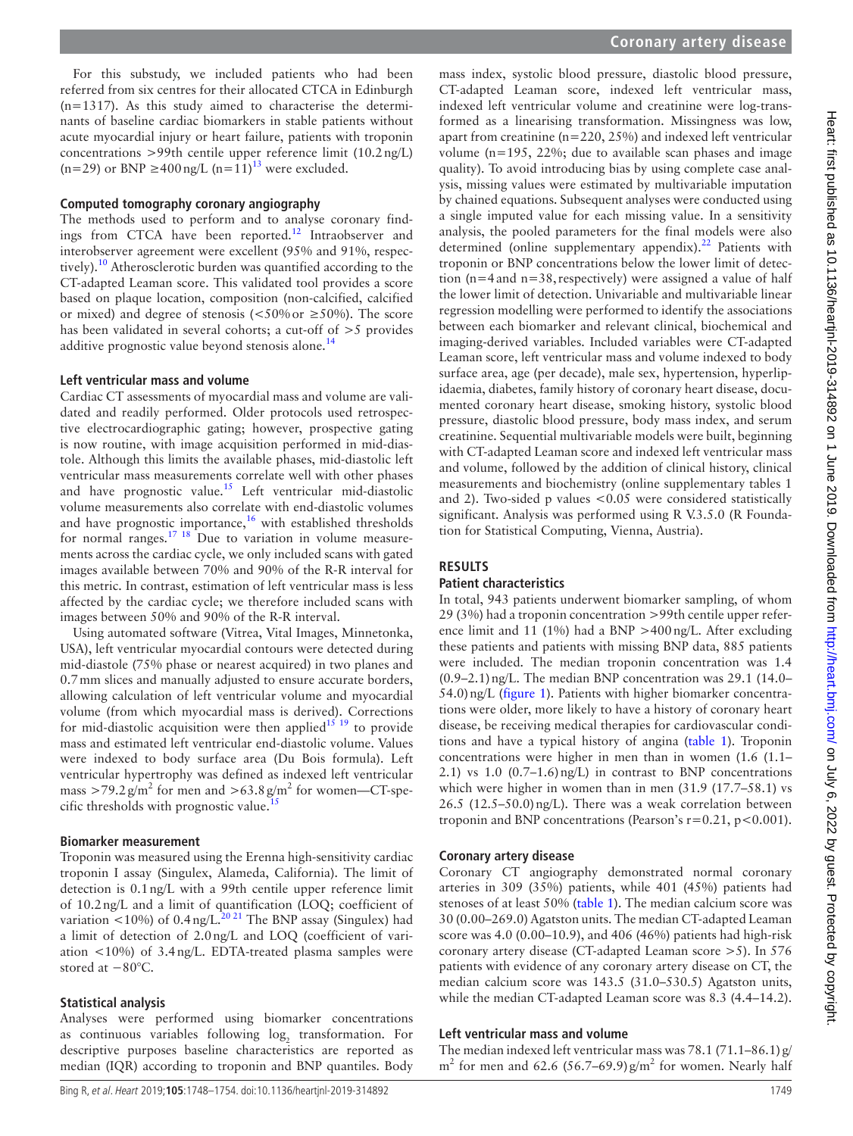For this substudy, we included patients who had been referred from six centres for their allocated CTCA in Edinburgh (n=1317). As this study aimed to characterise the determinants of baseline cardiac biomarkers in stable patients without acute myocardial injury or heart failure, patients with troponin concentrations >99th centile upper reference limit (10.2ng/L) (n=29) or BNP  $\geq$ 400 ng/L (n=11)<sup>13</sup> were excluded.

#### **Computed tomography coronary angiography**

The methods used to perform and to analyse coronary find-ings from CTCA have been reported.<sup>[12](#page-6-6)</sup> Intraobserver and interobserver agreement were excellent (95% and 91%, respectively).<sup>10</sup> Atherosclerotic burden was quantified according to the CT-adapted Leaman score. This validated tool provides a score based on plaque location, composition (non-calcified, calcified or mixed) and degree of stenosis ( $\lt 50\%$  or  $\ge 50\%$ ). The score has been validated in several cohorts; a cut-off of >5 provides additive prognostic value beyond stenosis alone.<sup>[14](#page-6-7)</sup>

#### **Left ventricular mass and volume**

Cardiac CT assessments of myocardial mass and volume are validated and readily performed. Older protocols used retrospective electrocardiographic gating; however, prospective gating is now routine, with image acquisition performed in mid-diastole. Although this limits the available phases, mid-diastolic left ventricular mass measurements correlate well with other phases and have prognostic value[.15](#page-6-8) Left ventricular mid-diastolic volume measurements also correlate with end-diastolic volumes and have prognostic importance,<sup>16</sup> with established thresholds for normal ranges.<sup>17</sup> <sup>18</sup> Due to variation in volume measurements across the cardiac cycle, we only included scans with gated images available between 70% and 90% of the R-R interval for this metric. In contrast, estimation of left ventricular mass is less affected by the cardiac cycle; we therefore included scans with images between 50% and 90% of the R-R interval.

Using automated software (Vitrea, Vital Images, Minnetonka, USA), left ventricular myocardial contours were detected during mid-diastole (75% phase or nearest acquired) in two planes and 0.7mm slices and manually adjusted to ensure accurate borders, allowing calculation of left ventricular volume and myocardial volume (from which myocardial mass is derived). Corrections for mid-diastolic acquisition were then applied<sup>15 19</sup> to provide mass and estimated left ventricular end-diastolic volume. Values were indexed to body surface area (Du Bois formula). Left ventricular hypertrophy was defined as indexed left ventricular mass >79.2 $\frac{g}{m^2}$  for men and >63.8 $\frac{g}{m^2}$  for women—CT-spe-cific thresholds with prognostic value.<sup>[15](#page-6-8)</sup>

#### **Biomarker measurement**

Troponin was measured using the Erenna high-sensitivity cardiac troponin I assay (Singulex, Alameda, California). The limit of detection is 0.1ng/L with a 99th centile upper reference limit of 10.2ng/L and a limit of quantification (LOQ; coefficient of variation  $\lt 10\%$ ) of 0.4 ng/L.<sup>20 21</sup> The BNP assay (Singulex) had a limit of detection of 2.0ng/L and LOQ (coefficient of variation <10%) of 3.4ng/L. EDTA-treated plasma samples were stored at −80°C.

#### **Statistical analysis**

Analyses were performed using biomarker concentrations as continuous variables following  $log<sub>2</sub>$  transformation. For descriptive purposes baseline characteristics are reported as median (IQR) according to troponin and BNP quantiles. Body

mass index, systolic blood pressure, diastolic blood pressure, CT-adapted Leaman score, indexed left ventricular mass, indexed left ventricular volume and creatinine were log-transformed as a linearising transformation. Missingness was low, apart from creatinine (n=220, 25%) and indexed left ventricular volume (n=195, 22%; due to available scan phases and image quality). To avoid introducing bias by using complete case analysis, missing values were estimated by multivariable imputation by chained equations. Subsequent analyses were conducted using a single imputed value for each missing value. In a sensitivity analysis, the pooled parameters for the final models were also determined (online [supplementary appendix\)](https://dx.doi.org/10.1136/heartjnl-2019-314892).<sup>22</sup> Patients with troponin or BNP concentrations below the lower limit of detection  $(n=4$  and  $n=38$ , respectively) were assigned a value of half the lower limit of detection. Univariable and multivariable linear regression modelling were performed to identify the associations between each biomarker and relevant clinical, biochemical and imaging-derived variables. Included variables were CT-adapted Leaman score, left ventricular mass and volume indexed to body surface area, age (per decade), male sex, hypertension, hyperlipidaemia, diabetes, family history of coronary heart disease, documented coronary heart disease, smoking history, systolic blood pressure, diastolic blood pressure, body mass index, and serum creatinine. Sequential multivariable models were built, beginning with CT-adapted Leaman score and indexed left ventricular mass and volume, followed by the addition of clinical history, clinical measurements and biochemistry (online [supplementary tables 1](https://dx.doi.org/10.1136/heartjnl-2019-314892) [and 2](https://dx.doi.org/10.1136/heartjnl-2019-314892)). Two-sided p values <0.05 were considered statistically significant. Analysis was performed using R V.3.5.0 (R Foundation for Statistical Computing, Vienna, Austria).

## **Results**

#### **Patient characteristics**

In total, 943 patients underwent biomarker sampling, of whom 29 (3%) had a troponin concentration >99th centile upper reference limit and 11 (1%) had a BNP >400ng/L. After excluding these patients and patients with missing BNP data, 885 patients were included. The median troponin concentration was 1.4 (0.9–2.1)ng/L. The median BNP concentration was 29.1 (14.0– 54.0)ng/L [\(figure](#page-2-0) 1). Patients with higher biomarker concentrations were older, more likely to have a history of coronary heart disease, be receiving medical therapies for cardiovascular conditions and have a typical history of angina ([table](#page-3-0) 1). Troponin concentrations were higher in men than in women (1.6 (1.1– 2.1) vs 1.0  $(0.7-1.6)$  ng/L) in contrast to BNP concentrations which were higher in women than in men (31.9 (17.7–58.1) vs 26.5 (12.5–50.0)ng/L). There was a weak correlation between troponin and BNP concentrations (Pearson's  $r=0.21$ ,  $p<0.001$ ).

#### **Coronary artery disease**

Coronary CT angiography demonstrated normal coronary arteries in 309 (35%) patients, while 401 (45%) patients had stenoses of at least 50% ([table](#page-3-0) 1). The median calcium score was 30 (0.00–269.0) Agatston units. The median CT-adapted Leaman score was 4.0 (0.00–10.9), and 406 (46%) patients had high-risk coronary artery disease (CT-adapted Leaman score >5). In 576 patients with evidence of any coronary artery disease on CT, the median calcium score was 143.5 (31.0–530.5) Agatston units, while the median CT-adapted Leaman score was 8.3 (4.4–14.2).

#### **Left ventricular mass and volume**

The median indexed left ventricular mass was 78.1 (71.1–86.1) g/  $m<sup>2</sup>$  for men and 62.6 (56.7–69.9) g/m<sup>2</sup> for women. Nearly half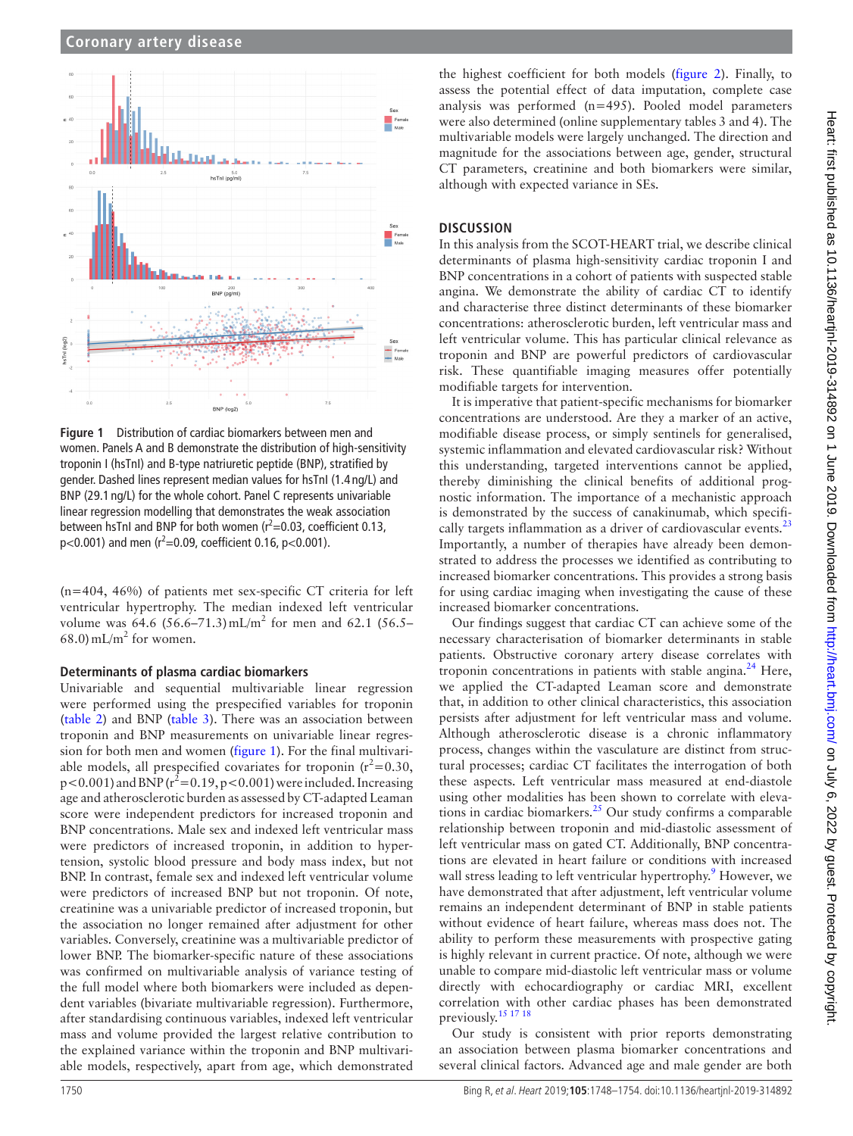

<span id="page-2-0"></span>**Figure 1** Distribution of cardiac biomarkers between men and women. Panels A and B demonstrate the distribution of high-sensitivity troponin I (hsTnI) and B-type natriuretic peptide (BNP), stratified by gender. Dashed lines represent median values for hsTnI (1.4 ng/L) and BNP (29.1 ng/L) for the whole cohort. Panel C represents univariable linear regression modelling that demonstrates the weak association between hsTnI and BNP for both women  $(r^2=0.03,$  coefficient 0.13,  $p<$ 0.001) and men (r<sup>2</sup>=0.09, coefficient 0.16, p<0.001).

(n=404, 46%) of patients met sex-specific CT criteria for left ventricular hypertrophy. The median indexed left ventricular volume was  $64.6$  (56.6–71.3) mL/m<sup>2</sup> for men and 62.1 (56.5–  $68.0$ ) mL/m<sup>2</sup> for women.

#### **Determinants of plasma cardiac biomarkers**

Univariable and sequential multivariable linear regression were performed using the prespecified variables for troponin ([table](#page-4-0) 2) and BNP ([table](#page-4-1) 3). There was an association between troponin and BNP measurements on univariable linear regression for both men and women [\(figure](#page-2-0) 1). For the final multivariable models, all prespecified covariates for troponin  $(r^2=0.30,$  $p < 0.001$ ) and BNP ( $r^2 = 0.19$ ,  $p < 0.001$ ) were included. Increasing age and atherosclerotic burden as assessed by CT-adapted Leaman score were independent predictors for increased troponin and BNP concentrations. Male sex and indexed left ventricular mass were predictors of increased troponin, in addition to hypertension, systolic blood pressure and body mass index, but not BNP. In contrast, female sex and indexed left ventricular volume were predictors of increased BNP but not troponin. Of note, creatinine was a univariable predictor of increased troponin, but the association no longer remained after adjustment for other variables. Conversely, creatinine was a multivariable predictor of lower BNP. The biomarker-specific nature of these associations was confirmed on multivariable analysis of variance testing of the full model where both biomarkers were included as dependent variables (bivariate multivariable regression). Furthermore, after standardising continuous variables, indexed left ventricular mass and volume provided the largest relative contribution to the explained variance within the troponin and BNP multivariable models, respectively, apart from age, which demonstrated

## **Discussion**

In this analysis from the SCOT-HEART trial, we describe clinical determinants of plasma high-sensitivity cardiac troponin I and BNP concentrations in a cohort of patients with suspected stable angina. We demonstrate the ability of cardiac CT to identify and characterise three distinct determinants of these biomarker concentrations: atherosclerotic burden, left ventricular mass and left ventricular volume. This has particular clinical relevance as troponin and BNP are powerful predictors of cardiovascular risk. These quantifiable imaging measures offer potentially modifiable targets for intervention.

It is imperative that patient-specific mechanisms for biomarker concentrations are understood. Are they a marker of an active, modifiable disease process, or simply sentinels for generalised, systemic inflammation and elevated cardiovascular risk? Without this understanding, targeted interventions cannot be applied, thereby diminishing the clinical benefits of additional prognostic information. The importance of a mechanistic approach is demonstrated by the success of canakinumab, which specifi-cally targets inflammation as a driver of cardiovascular events.<sup>[23](#page-6-13)</sup> Importantly, a number of therapies have already been demonstrated to address the processes we identified as contributing to increased biomarker concentrations. This provides a strong basis for using cardiac imaging when investigating the cause of these increased biomarker concentrations.

Our findings suggest that cardiac CT can achieve some of the necessary characterisation of biomarker determinants in stable patients. Obstructive coronary artery disease correlates with troponin concentrations in patients with stable angina.<sup>24</sup> Here, we applied the CT-adapted Leaman score and demonstrate that, in addition to other clinical characteristics, this association persists after adjustment for left ventricular mass and volume. Although atherosclerotic disease is a chronic inflammatory process, changes within the vasculature are distinct from structural processes; cardiac CT facilitates the interrogation of both these aspects. Left ventricular mass measured at end-diastole using other modalities has been shown to correlate with elevations in cardiac biomarkers. $^{25}$  Our study confirms a comparable relationship between troponin and mid-diastolic assessment of left ventricular mass on gated CT. Additionally, BNP concentrations are elevated in heart failure or conditions with increased wall stress leading to left ventricular hypertrophy.<sup>[9](#page-6-16)</sup> However, we have demonstrated that after adjustment, left ventricular volume remains an independent determinant of BNP in stable patients without evidence of heart failure, whereas mass does not. The ability to perform these measurements with prospective gating is highly relevant in current practice. Of note, although we were unable to compare mid-diastolic left ventricular mass or volume directly with echocardiography or cardiac MRI, excellent correlation with other cardiac phases has been demonstrated previously.[15 17 18](#page-6-8)

Our study is consistent with prior reports demonstrating an association between plasma biomarker concentrations and several clinical factors. Advanced age and male gender are both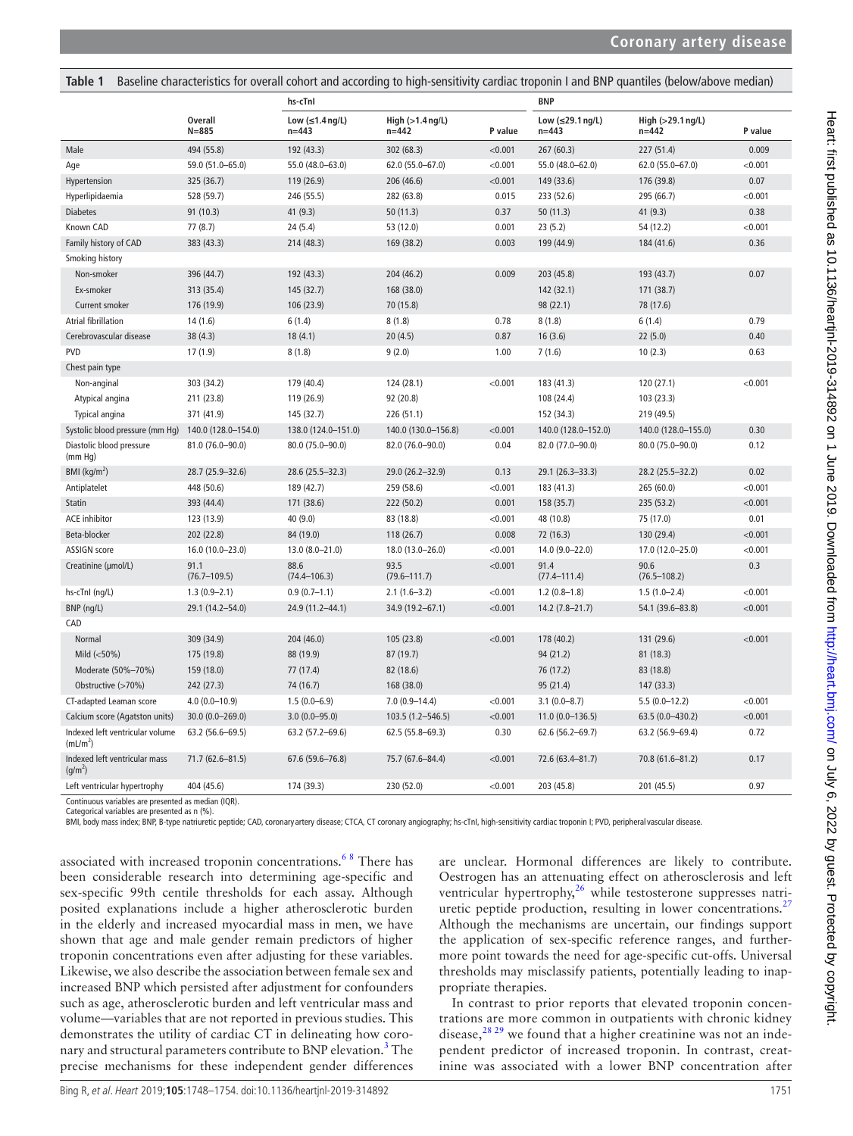<span id="page-3-0"></span>

| Table 1                                                 |                             |                                            |                                         |         |                                             | Baseline characteristics for overall cohort and according to high-sensitivity cardiac troponin I and BNP quantiles (below/above median) |         |
|---------------------------------------------------------|-----------------------------|--------------------------------------------|-----------------------------------------|---------|---------------------------------------------|-----------------------------------------------------------------------------------------------------------------------------------------|---------|
|                                                         | <b>Overall</b><br>$N = 885$ | hs-cTnl                                    |                                         |         | <b>BNP</b>                                  |                                                                                                                                         |         |
|                                                         |                             | Low $(\leq 1.4 \text{ ng/L})$<br>$n = 443$ | High $(>1.4 \text{ ng/L})$<br>$n = 442$ | P value | Low $(\leq 29.1 \text{ ng/L})$<br>$n = 443$ | High (>29.1 ng/L)<br>$n = 442$                                                                                                          | P value |
| Male                                                    | 494 (55.8)                  | 192 (43.3)                                 | 302 (68.3)                              | < 0.001 | 267 (60.3)                                  | 227 (51.4)                                                                                                                              | 0.009   |
| Age                                                     | 59.0 (51.0-65.0)            | 55.0 (48.0-63.0)                           | 62.0 (55.0-67.0)                        | < 0.001 | 55.0 (48.0-62.0)                            | 62.0 (55.0-67.0)                                                                                                                        | < 0.001 |
| Hypertension                                            | 325 (36.7)                  | 119 (26.9)                                 | 206 (46.6)                              | < 0.001 | 149 (33.6)                                  | 176 (39.8)                                                                                                                              | 0.07    |
| Hyperlipidaemia                                         | 528 (59.7)                  | 246 (55.5)                                 | 282 (63.8)                              | 0.015   | 233 (52.6)                                  | 295 (66.7)                                                                                                                              | < 0.001 |
| <b>Diabetes</b>                                         | 91(10.3)                    | 41(9.3)                                    | 50 (11.3)                               | 0.37    | 50(11.3)                                    | 41(9.3)                                                                                                                                 | 0.38    |
| Known CAD                                               | 77(8.7)                     | 24(5.4)                                    | 53 (12.0)                               | 0.001   | 23(5.2)                                     | 54 (12.2)                                                                                                                               | < 0.001 |
| Family history of CAD                                   | 383 (43.3)                  | 214 (48.3)                                 | 169 (38.2)                              | 0.003   | 199 (44.9)                                  | 184 (41.6)                                                                                                                              | 0.36    |
| Smoking history                                         |                             |                                            |                                         |         |                                             |                                                                                                                                         |         |
| Non-smoker                                              | 396 (44.7)                  | 192 (43.3)                                 | 204 (46.2)                              | 0.009   | 203 (45.8)                                  | 193 (43.7)                                                                                                                              | 0.07    |
| Ex-smoker                                               | 313 (35.4)                  | 145 (32.7)                                 | 168 (38.0)                              |         | 142 (32.1)                                  | 171 (38.7)                                                                                                                              |         |
| Current smoker                                          | 176 (19.9)                  | 106 (23.9)                                 | 70 (15.8)                               |         | 98 (22.1)                                   | 78 (17.6)                                                                                                                               |         |
| <b>Atrial fibrillation</b>                              | 14(1.6)                     | 6(1.4)                                     | 8(1.8)                                  | 0.78    | 8(1.8)                                      | 6(1.4)                                                                                                                                  | 0.79    |
| Cerebrovascular disease                                 | 38(4.3)                     | 18(4.1)                                    | 20(4.5)                                 | 0.87    | 16(3.6)                                     | 22(5.0)                                                                                                                                 | 0.40    |
| <b>PVD</b>                                              | 17(1.9)                     | 8(1.8)                                     | 9(2.0)                                  | 1.00    | 7(1.6)                                      | 10(2.3)                                                                                                                                 | 0.63    |
| Chest pain type                                         |                             |                                            |                                         |         |                                             |                                                                                                                                         |         |
| Non-anginal                                             | 303 (34.2)                  | 179 (40.4)                                 | 124 (28.1)                              | < 0.001 | 183 (41.3)                                  | 120 (27.1)                                                                                                                              | < 0.001 |
| Atypical angina                                         | 211 (23.8)                  | 119 (26.9)                                 | 92 (20.8)                               |         | 108 (24.4)                                  | 103 (23.3)                                                                                                                              |         |
| Typical angina                                          | 371 (41.9)                  | 145 (32.7)                                 | 226 (51.1)                              |         | 152 (34.3)                                  | 219 (49.5)                                                                                                                              |         |
| Systolic blood pressure (mm Hg)                         | 140.0 (128.0-154.0)         | 138.0 (124.0-151.0)                        | 140.0 (130.0-156.8)                     | < 0.001 | 140.0 (128.0-152.0)                         | 140.0 (128.0-155.0)                                                                                                                     | 0.30    |
| Diastolic blood pressure<br>(mm Hq)                     | 81.0 (76.0-90.0)            | 80.0 (75.0-90.0)                           | 82.0 (76.0-90.0)                        | 0.04    | 82.0 (77.0-90.0)                            | 80.0 (75.0-90.0)                                                                                                                        | 0.12    |
| BMI (kg/m <sup>2</sup> )                                | 28.7 (25.9-32.6)            | 28.6 (25.5-32.3)                           | 29.0 (26.2-32.9)                        | 0.13    | 29.1 (26.3-33.3)                            | 28.2 (25.5-32.2)                                                                                                                        | 0.02    |
| Antiplatelet                                            | 448 (50.6)                  | 189 (42.7)                                 | 259 (58.6)                              | < 0.001 | 183 (41.3)                                  | 265 (60.0)                                                                                                                              | < 0.001 |
| Statin                                                  | 393 (44.4)                  | 171 (38.6)                                 | 222 (50.2)                              | 0.001   | 158 (35.7)                                  | 235 (53.2)                                                                                                                              | < 0.001 |
| <b>ACE</b> inhibitor                                    | 123 (13.9)                  | 40 (9.0)                                   | 83 (18.8)                               | < 0.001 | 48 (10.8)                                   | 75 (17.0)                                                                                                                               | 0.01    |
| Beta-blocker                                            | 202 (22.8)                  | 84 (19.0)                                  | 118 (26.7)                              | 0.008   | 72 (16.3)                                   | 130 (29.4)                                                                                                                              | < 0.001 |
| ASSIGN score                                            | 16.0 (10.0-23.0)            | 13.0 (8.0-21.0)                            | 18.0 (13.0-26.0)                        | < 0.001 | 14.0 (9.0-22.0)                             | 17.0 (12.0-25.0)                                                                                                                        | < 0.001 |
| Creatinine (µmol/L)                                     | 91.1<br>$(76.7 - 109.5)$    | 88.6<br>$(74.4 - 106.3)$                   | 93.5<br>$(79.6 - 111.7)$                | < 0.001 | 91.4<br>$(77.4 - 111.4)$                    | 90.6<br>$(76.5 - 108.2)$                                                                                                                | 0.3     |
| hs-cTnI (ng/L)                                          | $1.3(0.9 - 2.1)$            | $0.9(0.7-1.1)$                             | $2.1(1.6-3.2)$                          | < 0.001 | $1.2(0.8-1.8)$                              | $1.5(1.0-2.4)$                                                                                                                          | < 0.001 |
| BNP (ng/L)                                              | 29.1 (14.2-54.0)            | 24.9 (11.2-44.1)                           | 34.9 (19.2-67.1)                        | < 0.001 | $14.2(7.8-21.7)$                            | 54.1 (39.6-83.8)                                                                                                                        | < 0.001 |
| CAD                                                     |                             |                                            |                                         |         |                                             |                                                                                                                                         |         |
| Normal                                                  | 309 (34.9)                  | 204 (46.0)                                 | 105 (23.8)                              | < 0.001 | 178 (40.2)                                  | 131 (29.6)                                                                                                                              | < 0.001 |
| Mild $(<50\%)$                                          | 175 (19.8)                  | 88 (19.9)                                  | 87 (19.7)                               |         | 94 (21.2)                                   | 81 (18.3)                                                                                                                               |         |
| Moderate (50%-70%)                                      | 159 (18.0)                  | 77 (17.4)                                  | 82 (18.6)                               |         | 76 (17.2)                                   | 83 (18.8)                                                                                                                               |         |
| Obstructive (>70%)                                      | 242 (27.3)                  | 74 (16.7)                                  | 168 (38.0)                              |         | 95 (21.4)                                   | 147 (33.3)                                                                                                                              |         |
| CT-adapted Leaman score                                 | $4.0(0.0-10.9)$             | $1.5(0.0-6.9)$                             | $7.0(0.9 - 14.4)$                       | < 0.001 | $3.1(0.0 - 8.7)$                            | $5.5(0.0-12.2)$                                                                                                                         | < 0.001 |
| Calcium score (Agatston units)                          | 30.0 (0.0-269.0)            | $3.0(0.0 - 95.0)$                          | 103.5 (1.2-546.5)                       | < 0.001 | $11.0(0.0-136.5)$                           | 63.5 (0.0-430.2)                                                                                                                        | < 0.001 |
| Indexed left ventricular volume<br>(mL/m <sup>2</sup> ) | 63.2 (56.6-69.5)            | 63.2 (57.2-69.6)                           | 62.5 (55.8-69.3)                        | 0.30    | 62.6 (56.2-69.7)                            | 63.2 (56.9-69.4)                                                                                                                        | 0.72    |
| Indexed left ventricular mass<br>(g/m <sup>2</sup> )    | 71.7 (62.6-81.5)            | 67.6 (59.6-76.8)                           | 75.7 (67.6-84.4)                        | < 0.001 | 72.6 (63.4-81.7)                            | 70.8 (61.6-81.2)                                                                                                                        | 0.17    |
| Left ventricular hypertrophy                            | 404 (45.6)                  | 174 (39.3)                                 | 230 (52.0)                              | < 0.001 | 203 (45.8)                                  | 201 (45.5)                                                                                                                              | 0.97    |
| Continuous variables are presented as median (IQR).     |                             |                                            |                                         |         |                                             |                                                                                                                                         |         |

Categorical variables are presented as n (%).

BMI, body mass index; BNP, B-type natriuretic peptide; CAD, coronary artery disease; CTCA, CT coronary angiography; hs-cTnI, high-sensitivity cardiac troponin I; PVD, peripheral vascular disease.

associated with increased troponin concentrations.<sup>68</sup> There has been considerable research into determining age-specific and sex-specific 99th centile thresholds for each assay. Although posited explanations include a higher atherosclerotic burden in the elderly and increased myocardial mass in men, we have shown that age and male gender remain predictors of higher troponin concentrations even after adjusting for these variables. Likewise, we also describe the association between female sex and increased BNP which persisted after adjustment for confounders such as age, atherosclerotic burden and left ventricular mass and volume—variables that are not reported in previous studies. This demonstrates the utility of cardiac CT in delineating how coronary and structural parameters contribute to BNP elevation.<sup>3</sup> The precise mechanisms for these independent gender differences

are unclear. Hormonal differences are likely to contribute. Oestrogen has an attenuating effect on atherosclerosis and left ventricular hypertrophy,<sup>[26](#page-6-19)</sup> while testosterone suppresses natri-uretic peptide production, resulting in lower concentrations.<sup>[27](#page-6-20)</sup> Although the mechanisms are uncertain, our findings support the application of sex-specific reference ranges, and furthermore point towards the need for age-specific cut-offs. Universal thresholds may misclassify patients, potentially leading to inappropriate therapies.

In contrast to prior reports that elevated troponin concentrations are more common in outpatients with chronic kidney disease, $28 29$  we found that a higher creatinine was not an independent predictor of increased troponin. In contrast, creatinine was associated with a lower BNP concentration after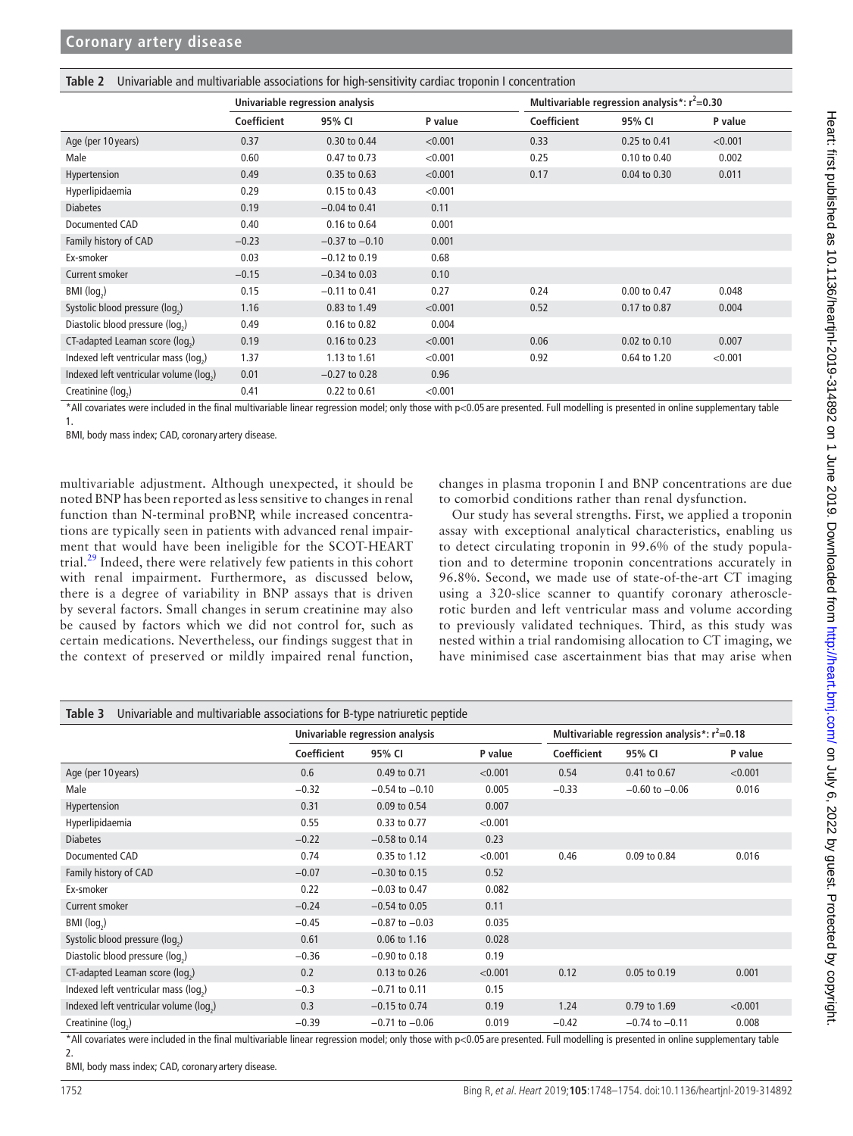<span id="page-4-0"></span>

|                                        | Univariable regression analysis |                    |         |             | Multivariable regression analysis*: $r^2$ =0.30 |         |  |  |
|----------------------------------------|---------------------------------|--------------------|---------|-------------|-------------------------------------------------|---------|--|--|
|                                        | Coefficient                     | 95% CI             | P value | Coefficient | 95% CI                                          | P value |  |  |
| Age (per 10 years)                     | 0.37                            | 0.30 to 0.44       | < 0.001 | 0.33        | 0.25 to 0.41                                    | < 0.001 |  |  |
| Male                                   | 0.60                            | 0.47 to 0.73       | < 0.001 | 0.25        | 0.10 to 0.40                                    | 0.002   |  |  |
| Hypertension                           | 0.49                            | 0.35 to 0.63       | < 0.001 | 0.17        | 0.04 to 0.30                                    | 0.011   |  |  |
| Hyperlipidaemia                        | 0.29                            | 0.15 to 0.43       | < 0.001 |             |                                                 |         |  |  |
| <b>Diabetes</b>                        | 0.19                            | $-0.04$ to 0.41    | 0.11    |             |                                                 |         |  |  |
| Documented CAD                         | 0.40                            | 0.16 to 0.64       | 0.001   |             |                                                 |         |  |  |
| Family history of CAD                  | $-0.23$                         | $-0.37$ to $-0.10$ | 0.001   |             |                                                 |         |  |  |
| Ex-smoker                              | 0.03                            | $-0.12$ to 0.19    | 0.68    |             |                                                 |         |  |  |
| Current smoker                         | $-0.15$                         | $-0.34$ to 0.03    | 0.10    |             |                                                 |         |  |  |
| BMI (log <sub>2</sub> )                | 0.15                            | $-0.11$ to 0.41    | 0.27    | 0.24        | 0.00 to 0.47                                    | 0.048   |  |  |
| Systolic blood pressure (log.)         | 1.16                            | 0.83 to 1.49       | < 0.001 | 0.52        | 0.17 to 0.87                                    | 0.004   |  |  |
| Diastolic blood pressure (log.)        | 0.49                            | 0.16 to 0.82       | 0.004   |             |                                                 |         |  |  |
| CT-adapted Leaman score (log.)         | 0.19                            | 0.16 to 0.23       | < 0.001 | 0.06        | 0.02 to 0.10                                    | 0.007   |  |  |
| Indexed left ventricular mass (log.)   | 1.37                            | 1.13 to 1.61       | < 0.001 | 0.92        | 0.64 to 1.20                                    | < 0.001 |  |  |
| Indexed left ventricular volume (log.) | 0.01                            | $-0.27$ to 0.28    | 0.96    |             |                                                 |         |  |  |
| Creatinine (log <sub>2</sub> )         | 0.41                            | 0.22 to 0.61       | < 0.001 |             |                                                 |         |  |  |

\*All covariates were included in the final multivariable linear regression model; only those with p<0.05 are presented. Full modelling is presented in online [supplementary table](https://dx.doi.org/10.1136/heartjnl-2019-314892)  [1.](https://dx.doi.org/10.1136/heartjnl-2019-314892)

BMI, body mass index; CAD, coronary artery disease.

multivariable adjustment. Although unexpected, it should be noted BNP has been reported as less sensitive to changes in renal function than N-terminal proBNP, while increased concentrations are typically seen in patients with advanced renal impairment that would have been ineligible for the SCOT-HEART trial.[29](#page-6-22) Indeed, there were relatively few patients in this cohort with renal impairment. Furthermore, as discussed below, there is a degree of variability in BNP assays that is driven by several factors. Small changes in serum creatinine may also be caused by factors which we did not control for, such as certain medications. Nevertheless, our findings suggest that in the context of preserved or mildly impaired renal function, changes in plasma troponin I and BNP concentrations are due to comorbid conditions rather than renal dysfunction.

Our study has several strengths. First, we applied a troponin assay with exceptional analytical characteristics, enabling us to detect circulating troponin in 99.6% of the study population and to determine troponin concentrations accurately in 96.8%. Second, we made use of state-of-the-art CT imaging using a 320-slice scanner to quantify coronary atherosclerotic burden and left ventricular mass and volume according to previously validated techniques. Third, as this study was nested within a trial randomising allocation to CT imaging, we have minimised case ascertainment bias that may arise when

<span id="page-4-1"></span>

| Univariable and multivariable associations for B-type natriuretic peptide<br>Table 3                                                                                                                                                                             |             |                                 |         |                                                                |                                                  |         |  |  |
|------------------------------------------------------------------------------------------------------------------------------------------------------------------------------------------------------------------------------------------------------------------|-------------|---------------------------------|---------|----------------------------------------------------------------|--------------------------------------------------|---------|--|--|
|                                                                                                                                                                                                                                                                  |             | Univariable regression analysis |         |                                                                | Multivariable regression analysis*: $r^2 = 0.18$ |         |  |  |
|                                                                                                                                                                                                                                                                  | Coefficient | 95% CI                          | P value | Coefficient                                                    | 95% CI                                           | P value |  |  |
| Age (per 10 years)                                                                                                                                                                                                                                               | 0.6         | 0.49 to 0.71                    | < 0.001 | 0.54                                                           | 0.41 to 0.67                                     | < 0.001 |  |  |
| Male                                                                                                                                                                                                                                                             | $-0.32$     | $-0.54$ to $-0.10$              | 0.005   | $-0.33$                                                        | $-0.60$ to $-0.06$                               | 0.016   |  |  |
| Hypertension                                                                                                                                                                                                                                                     | 0.31        | 0.09 to 0.54                    | 0.007   |                                                                |                                                  |         |  |  |
| Hyperlipidaemia                                                                                                                                                                                                                                                  | 0.55        | 0.33 to 0.77                    | < 0.001 |                                                                |                                                  |         |  |  |
| <b>Diabetes</b>                                                                                                                                                                                                                                                  | $-0.22$     | $-0.58$ to 0.14                 | 0.23    |                                                                |                                                  |         |  |  |
| Documented CAD                                                                                                                                                                                                                                                   | 0.74        | 0.35 to 1.12                    | < 0.001 | 0.46                                                           | 0.09 to 0.84                                     | 0.016   |  |  |
| Family history of CAD                                                                                                                                                                                                                                            | $-0.07$     | $-0.30$ to 0.15                 | 0.52    |                                                                |                                                  |         |  |  |
| Ex-smoker                                                                                                                                                                                                                                                        | 0.22        | $-0.03$ to 0.47                 | 0.082   |                                                                |                                                  |         |  |  |
| Current smoker                                                                                                                                                                                                                                                   | $-0.24$     | $-0.54$ to 0.05                 | 0.11    |                                                                |                                                  |         |  |  |
| BMI (log <sub>2</sub> )                                                                                                                                                                                                                                          | $-0.45$     | $-0.87$ to $-0.03$              | 0.035   |                                                                |                                                  |         |  |  |
| Systolic blood pressure (log.)                                                                                                                                                                                                                                   | 0.61        | 0.06 to 1.16                    | 0.028   |                                                                |                                                  |         |  |  |
| Diastolic blood pressure (log.)                                                                                                                                                                                                                                  | $-0.36$     | $-0.90$ to $0.18$               | 0.19    |                                                                |                                                  |         |  |  |
| CT-adapted Leaman score (log.)                                                                                                                                                                                                                                   | 0.2         | 0.13 to 0.26                    | < 0.001 | 0.12                                                           | 0.05 to 0.19                                     | 0.001   |  |  |
| Indexed left ventricular mass (log.)                                                                                                                                                                                                                             | $-0.3$      | $-0.71$ to 0.11                 | 0.15    |                                                                |                                                  |         |  |  |
| Indexed left ventricular volume (log.)                                                                                                                                                                                                                           | 0.3         | $-0.15$ to 0.74                 | 0.19    | 1.24                                                           | 0.79 to 1.69                                     | < 0.001 |  |  |
| Creatinine (log <sub>2</sub> )<br>the contract of the contract of the contract of the contract of the contract of the contract of the contract of the contract of the contract of the contract of the contract of the contract of the contract of the contract o | $-0.39$     | $-0.71$ to $-0.06$              | 0.019   | $-0.42$<br>$\sim$ $\sim$ $\sim$<br>$\sim$ $\sim$ $\sim$ $\sim$ | $-0.74$ to $-0.11$                               | 0.008   |  |  |

\*All covariates were included in the final multivariable linear regression model; only those with p<0.05 are presented. Full modelling is presented in online [supplementary table](https://dx.doi.org/10.1136/heartjnl-2019-314892)  [2.](https://dx.doi.org/10.1136/heartjnl-2019-314892)

BMI, body mass index; CAD, coronary artery disease.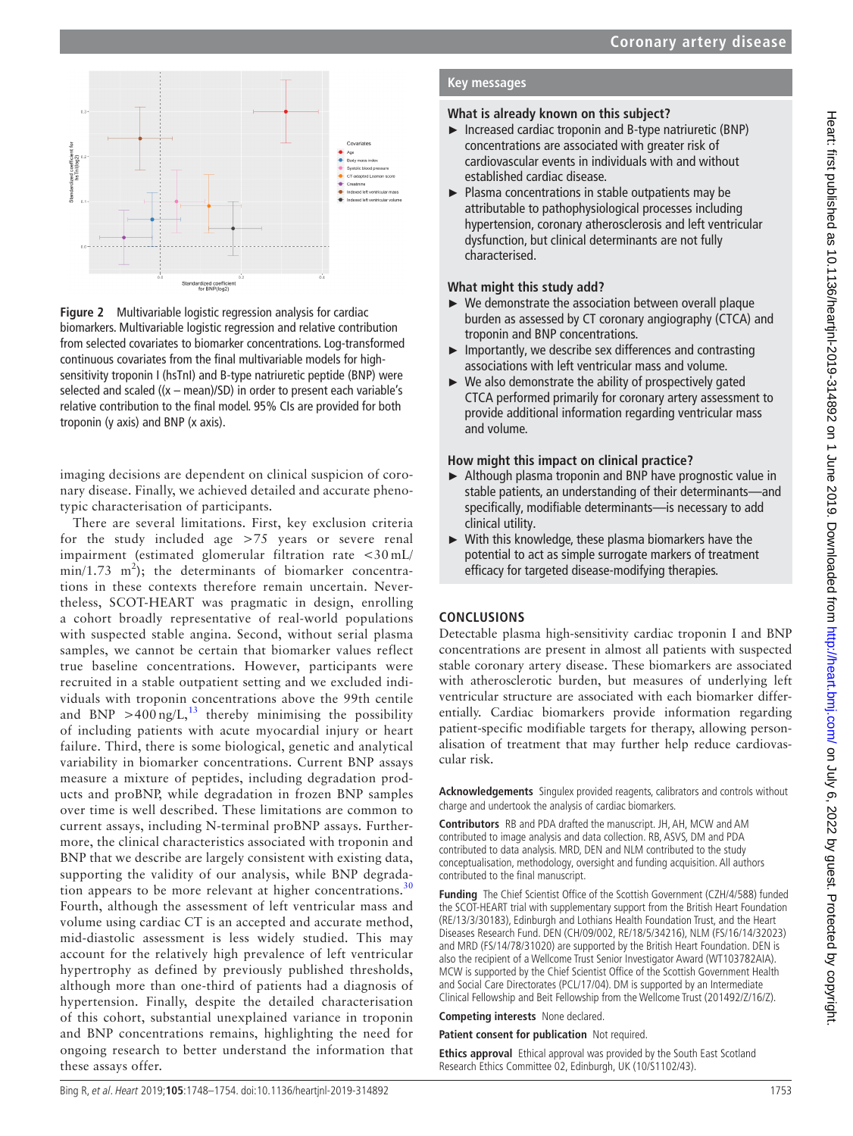

<span id="page-5-0"></span>**Figure 2** Multivariable logistic regression analysis for cardiac biomarkers. Multivariable logistic regression and relative contribution from selected covariates to biomarker concentrations. Log-transformed continuous covariates from the final multivariable models for highsensitivity troponin I (hsTnI) and B-type natriuretic peptide (BNP) were selected and scaled  $((x - mean)/SD)$  in order to present each variable's relative contribution to the final model. 95% CIs are provided for both troponin (y axis) and BNP (x axis).

imaging decisions are dependent on clinical suspicion of coronary disease. Finally, we achieved detailed and accurate phenotypic characterisation of participants.

There are several limitations. First, key exclusion criteria for the study included age >75 years or severe renal impairment (estimated glomerular filtration rate <30 mL/  $min/1.73$  m<sup>2</sup>); the determinants of biomarker concentrations in these contexts therefore remain uncertain. Nevertheless, SCOT-HEART was pragmatic in design, enrolling a cohort broadly representative of real-world populations with suspected stable angina. Second, without serial plasma samples, we cannot be certain that biomarker values reflect true baseline concentrations. However, participants were recruited in a stable outpatient setting and we excluded individuals with troponin concentrations above the 99th centile and BNP  $>400 \text{ ng/L}$ ,<sup>[13](#page-6-5)</sup> thereby minimising the possibility of including patients with acute myocardial injury or heart failure. Third, there is some biological, genetic and analytical variability in biomarker concentrations. Current BNP assays measure a mixture of peptides, including degradation products and proBNP, while degradation in frozen BNP samples over time is well described. These limitations are common to current assays, including N-terminal proBNP assays. Furthermore, the clinical characteristics associated with troponin and BNP that we describe are largely consistent with existing data, supporting the validity of our analysis, while BNP degradation appears to be more relevant at higher concentrations. $30$ Fourth, although the assessment of left ventricular mass and volume using cardiac CT is an accepted and accurate method, mid-diastolic assessment is less widely studied. This may account for the relatively high prevalence of left ventricular hypertrophy as defined by previously published thresholds, although more than one-third of patients had a diagnosis of hypertension. Finally, despite the detailed characterisation of this cohort, substantial unexplained variance in troponin and BNP concentrations remains, highlighting the need for ongoing research to better understand the information that these assays offer.

## **Key messages**

## **What is already known on this subject?**

- ► Increased cardiac troponin and B-type natriuretic (BNP) concentrations are associated with greater risk of cardiovascular events in individuals with and without established cardiac disease.
- ► Plasma concentrations in stable outpatients may be attributable to pathophysiological processes including hypertension, coronary atherosclerosis and left ventricular dysfunction, but clinical determinants are not fully characterised.

## **What might this study add?**

- ► We demonstrate the association between overall plaque burden as assessed by CT coronary angiography (CTCA) and troponin and BNP concentrations.
- $\blacktriangleright$  Importantly, we describe sex differences and contrasting associations with left ventricular mass and volume.
- $\triangleright$  We also demonstrate the ability of prospectively gated CTCA performed primarily for coronary artery assessment to provide additional information regarding ventricular mass and volume.

## **How might this impact on clinical practice?**

- ► Although plasma troponin and BNP have prognostic value in stable patients, an understanding of their determinants—and specifically, modifiable determinants—is necessary to add clinical utility.
- ► With this knowledge, these plasma biomarkers have the potential to act as simple surrogate markers of treatment efficacy for targeted disease-modifying therapies.

## **Conclusions**

Detectable plasma high-sensitivity cardiac troponin I and BNP concentrations are present in almost all patients with suspected stable coronary artery disease. These biomarkers are associated with atherosclerotic burden, but measures of underlying left ventricular structure are associated with each biomarker differentially. Cardiac biomarkers provide information regarding patient-specific modifiable targets for therapy, allowing personalisation of treatment that may further help reduce cardiovascular risk.

**Acknowledgements** Singulex provided reagents, calibrators and controls without charge and undertook the analysis of cardiac biomarkers.

**Contributors** RB and PDA drafted the manuscript. JH, AH, MCW and AM contributed to image analysis and data collection. RB, ASVS, DM and PDA contributed to data analysis. MRD, DEN and NLM contributed to the study conceptualisation, methodology, oversight and funding acquisition. All authors contributed to the final manuscript.

**Funding** The Chief Scientist Office of the Scottish Government (CZH/4/588) funded the SCOT-HEART trial with supplementary support from the British Heart Foundation (RE/13/3/30183), Edinburgh and Lothians Health Foundation Trust, and the Heart Diseases Research Fund. DEN (CH/09/002, RE/18/5/34216), NLM (FS/16/14/32023) and MRD (FS/14/78/31020) are supported by the British Heart Foundation. DEN is also the recipient of a Wellcome Trust Senior Investigator Award (WT103782AIA). MCW is supported by the Chief Scientist Office of the Scottish Government Health and Social Care Directorates (PCL/17/04). DM is supported by an Intermediate Clinical Fellowship and Beit Fellowship from the Wellcome Trust (201492/Z/16/Z).

**Competing interests** None declared.

#### **Patient consent for publication** Not required.

**Ethics approval** Ethical approval was provided by the South East Scotland Research Ethics Committee 02, Edinburgh, UK (10/S1102/43).